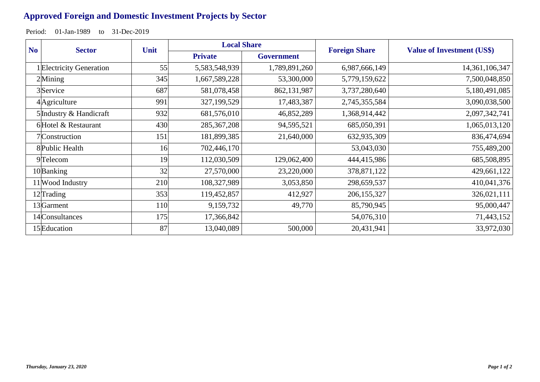## **Approved Foreign and Domestic Investment Projects by Sector**

Period: 01-Jan-1989 to 31-Dec-2019

| N <sub>o</sub> | <b>Sector</b>            | Unit | <b>Local Share</b> |                   | <b>Foreign Share</b> | <b>Value of Investment (US\$)</b> |
|----------------|--------------------------|------|--------------------|-------------------|----------------------|-----------------------------------|
|                |                          |      | <b>Private</b>     | <b>Government</b> |                      |                                   |
|                | 1 Electricity Generation | 55   | 5,583,548,939      | 1,789,891,260     | 6,987,666,149        | 14,361,106,347                    |
| $2$ Mining     |                          | 345  | 1,667,589,228      | 53,300,000        | 5,779,159,622        | 7,500,048,850                     |
|                | 3 Service                | 687  | 581,078,458        | 862,131,987       | 3,737,280,640        | 5,180,491,085                     |
|                | 4 Agriculture            | 991  | 327,199,529        | 17,483,387        | 2,745,355,584        | 3,090,038,500                     |
|                | 5 Industry & Handicraft  | 932  | 681,576,010        | 46,852,289        | 1,368,914,442        | 2,097,342,741                     |
|                | 6Hotel & Restaurant      | 430  | 285, 367, 208      | 94,595,521        | 685,050,391          | 1,065,013,120                     |
|                | 7 Construction           | 151  | 181,899,385        | 21,640,000        | 632,935,309          | 836,474,694                       |
|                | 8 Public Health          | 16   | 702,446,170        |                   | 53,043,030           | 755,489,200                       |
|                | 9Telecom                 | 19   | 112,030,509        | 129,062,400       | 444,415,986          | 685,508,895                       |
|                | 10Banking                | 32   | 27,570,000         | 23,220,000        | 378,871,122          | 429,661,122                       |
|                | 11 Wood Industry         | 210  | 108,327,989        | 3,053,850         | 298,659,537          | 410,041,376                       |
|                | 12Trading                | 353  | 119,452,857        | 412,927           | 206, 155, 327        | 326,021,111                       |
|                | 13 <sup></sup> Garment   | 110  | 9,159,732          | 49,770            | 85,790,945           | 95,000,447                        |
|                | 14 Consultances          | 175  | 17,366,842         |                   | 54,076,310           | 71,443,152                        |
|                | 15 Education             | 87   | 13,040,089         | 500,000           | 20,431,941           | 33,972,030                        |